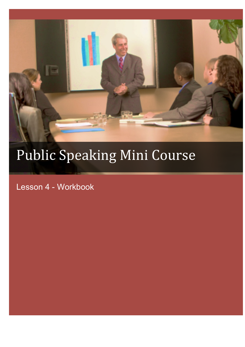

# Public Speaking Mini Course

Lesson 4 - Workbook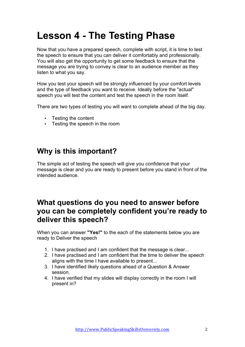## **Lesson 4 - The Testing Phase**

Now that you have a prepared speech, complete with script, it is time to test the speech to ensure that you can deliver it comfortably and professionally. You will also get the opportunity to get some feedback to ensure that the message you are trying to convey is clear to an audience member as they listen to what you say.

How you test your speech will be strongly influenced by your comfort levels and the type of feedback you want to receive. Ideally before the "actual" speech you will test the content and test the speech in the room itself.

There are two types of testing you will want to complete ahead of the big day.

- Testing the content
- Testing the speech in the room

#### **Why is this important?**

The simple act of testing the speech will give you confidence that your message is clear and you are ready to present before you stand in front of the intended audience.

#### **What questions do you need to answer before you can be completely confident you're ready to deliver this speech?**

When you can answer **"Yes!"** to the each of the statements below you are ready to Deliver the speech

- 1. I have practised and I am confident that the message is clear...
- 2. I have practised and I am confident that the time to deliver the speech aligns with the time I have available to present...
- 3. I have identified likely questions ahead of a Question & Answer session.
- 4. I have verified that my slides will display correctly in the room I will present in?